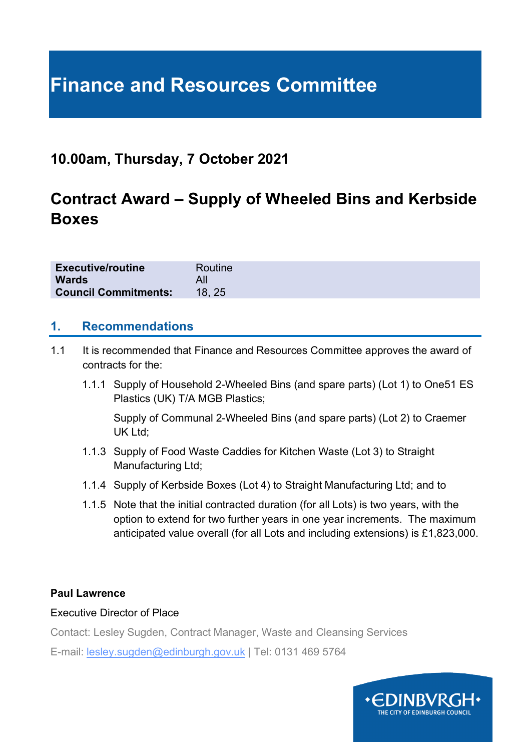# **Finance and Resources Committee**

# **10.00am, Thursday, 7 October 2021**

# **Contract Award – Supply of Wheeled Bins and Kerbside Boxes**

| <b>Executive/routine</b>    | Routine |
|-----------------------------|---------|
| <b>Wards</b>                |         |
| <b>Council Commitments:</b> | 18.25   |

#### **1. Recommendations**

- 1.1 It is recommended that Finance and Resources Committee approves the award of contracts for the:
	- 1.1.1 Supply of Household 2-Wheeled Bins (and spare parts) (Lot 1) to One51 ES Plastics (UK) T/A MGB Plastics;

Supply of Communal 2-Wheeled Bins (and spare parts) (Lot 2) to Craemer UK Ltd;

- 1.1.3 Supply of Food Waste Caddies for Kitchen Waste (Lot 3) to Straight Manufacturing Ltd;
- 1.1.4 Supply of Kerbside Boxes (Lot 4) to Straight Manufacturing Ltd; and to
- 1.1.5 Note that the initial contracted duration (for all Lots) is two years, with the option to extend for two further years in one year increments. The maximum anticipated value overall (for all Lots and including extensions) is £1,823,000.

#### **Paul Lawrence**

#### Executive Director of Place

Contact: Lesley Sugden, Contract Manager, Waste and Cleansing Services

E-mail: lesley.sugden@edinburgh.gov.uk | Tel: 0131 469 5764

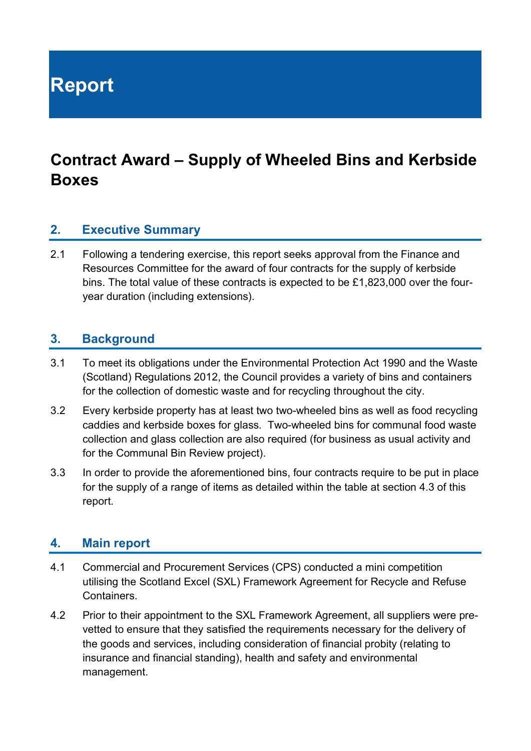**Report**

# **Contract Award – Supply of Wheeled Bins and Kerbside Boxes**

#### **2. Executive Summary**

2.1 Following a tendering exercise, this report seeks approval from the Finance and Resources Committee for the award of four contracts for the supply of kerbside bins. The total value of these contracts is expected to be £1,823,000 over the fouryear duration (including extensions).

#### **3. Background**

- 3.1 To meet its obligations under the Environmental Protection Act 1990 and the Waste (Scotland) Regulations 2012, the Council provides a variety of bins and containers for the collection of domestic waste and for recycling throughout the city.
- 3.2 Every kerbside property has at least two two-wheeled bins as well as food recycling caddies and kerbside boxes for glass. Two-wheeled bins for communal food waste collection and glass collection are also required (for business as usual activity and for the Communal Bin Review project).
- 3.3 In order to provide the aforementioned bins, four contracts require to be put in place for the supply of a range of items as detailed within the table at section 4.3 of this report.

#### **4. Main report**

- 4.1 Commercial and Procurement Services (CPS) conducted a mini competition utilising the Scotland Excel (SXL) Framework Agreement for Recycle and Refuse **Containers**
- 4.2 Prior to their appointment to the SXL Framework Agreement, all suppliers were prevetted to ensure that they satisfied the requirements necessary for the delivery of the goods and services, including consideration of financial probity (relating to insurance and financial standing), health and safety and environmental management.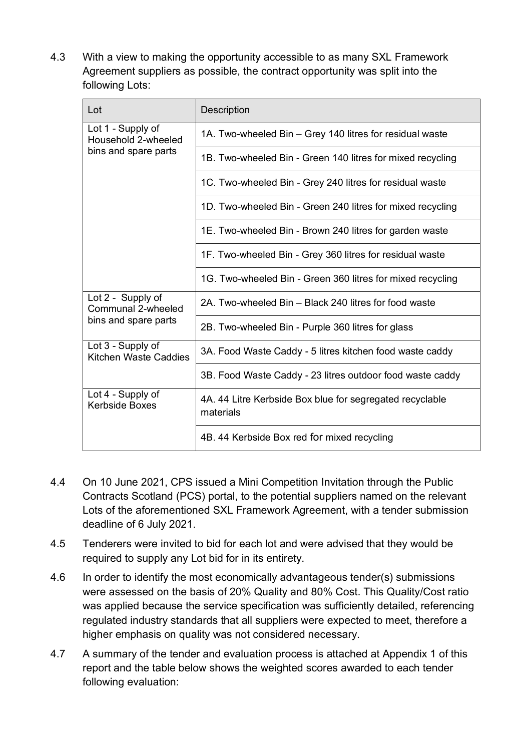4.3 With a view to making the opportunity accessible to as many SXL Framework Agreement suppliers as possible, the contract opportunity was split into the following Lots:

| Lot                                        | Description                                                           |  |  |
|--------------------------------------------|-----------------------------------------------------------------------|--|--|
| Lot 1 - Supply of<br>Household 2-wheeled   | 1A. Two-wheeled Bin – Grey 140 litres for residual waste              |  |  |
| bins and spare parts                       | 1B. Two-wheeled Bin - Green 140 litres for mixed recycling            |  |  |
|                                            | 1C. Two-wheeled Bin - Grey 240 litres for residual waste              |  |  |
|                                            | 1D. Two-wheeled Bin - Green 240 litres for mixed recycling            |  |  |
|                                            | 1E. Two-wheeled Bin - Brown 240 litres for garden waste               |  |  |
|                                            | 1F. Two-wheeled Bin - Grey 360 litres for residual waste              |  |  |
|                                            | 1G. Two-wheeled Bin - Green 360 litres for mixed recycling            |  |  |
| Lot 2 - Supply of<br>Communal 2-wheeled    | 2A. Two-wheeled Bin – Black 240 litres for food waste                 |  |  |
| bins and spare parts                       | 2B. Two-wheeled Bin - Purple 360 litres for glass                     |  |  |
| Lot 3 - Supply of<br>Kitchen Waste Caddies | 3A. Food Waste Caddy - 5 litres kitchen food waste caddy              |  |  |
|                                            | 3B. Food Waste Caddy - 23 litres outdoor food waste caddy             |  |  |
| Lot 4 - Supply of<br><b>Kerbside Boxes</b> | 4A. 44 Litre Kerbside Box blue for segregated recyclable<br>materials |  |  |
|                                            | 4B. 44 Kerbside Box red for mixed recycling                           |  |  |

- 4.4 On 10 June 2021, CPS issued a Mini Competition Invitation through the Public Contracts Scotland (PCS) portal, to the potential suppliers named on the relevant Lots of the aforementioned SXL Framework Agreement, with a tender submission deadline of 6 July 2021.
- 4.5 Tenderers were invited to bid for each lot and were advised that they would be required to supply any Lot bid for in its entirety.
- 4.6 In order to identify the most economically advantageous tender(s) submissions were assessed on the basis of 20% Quality and 80% Cost. This Quality/Cost ratio was applied because the service specification was sufficiently detailed, referencing regulated industry standards that all suppliers were expected to meet, therefore a higher emphasis on quality was not considered necessary.
- 4.7 A summary of the tender and evaluation process is attached at Appendix 1 of this report and the table below shows the weighted scores awarded to each tender following evaluation: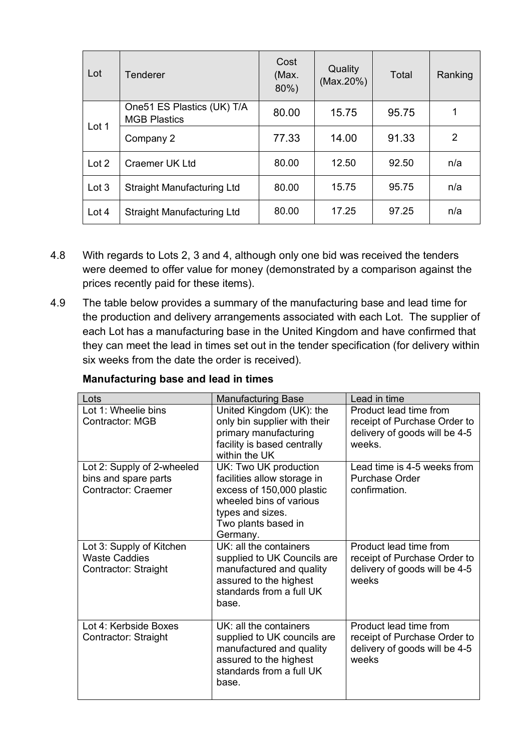| Lot     | <b>Tenderer</b>                                    | Cost<br>(Max.<br>80%) | Quality<br>(Max.20%) | Total | Ranking |
|---------|----------------------------------------------------|-----------------------|----------------------|-------|---------|
| Lot 1   | One 51 ES Plastics (UK) T/A<br><b>MGB Plastics</b> | 80.00                 | 15.75                | 95.75 | 1       |
|         | Company 2                                          | 77.33                 | 14.00                | 91.33 | 2       |
| Lot 2   | <b>Craemer UK Ltd</b>                              | 80.00                 | 12.50                | 92.50 | n/a     |
| Lot 3   | <b>Straight Manufacturing Ltd</b>                  | 80.00                 | 15.75                | 95.75 | n/a     |
| Lot $4$ | <b>Straight Manufacturing Ltd</b>                  | 80.00                 | 17.25                | 97.25 | n/a     |

- 4.8 With regards to Lots 2, 3 and 4, although only one bid was received the tenders were deemed to offer value for money (demonstrated by a comparison against the prices recently paid for these items).
- 4.9 The table below provides a summary of the manufacturing base and lead time for the production and delivery arrangements associated with each Lot. The supplier of each Lot has a manufacturing base in the United Kingdom and have confirmed that they can meet the lead in times set out in the tender specification (for delivery within six weeks from the date the order is received).

| Lots                                                                     | <b>Manufacturing Base</b>                                                                                                                        | Lead in time                                                                                     |
|--------------------------------------------------------------------------|--------------------------------------------------------------------------------------------------------------------------------------------------|--------------------------------------------------------------------------------------------------|
| Lot 1: Wheelie bins<br><b>Contractor: MGB</b>                            | United Kingdom (UK): the<br>only bin supplier with their                                                                                         | Product lead time from<br>receipt of Purchase Order to                                           |
|                                                                          | primary manufacturing<br>facility is based centrally<br>within the UK                                                                            | delivery of goods will be 4-5<br>weeks                                                           |
| Lot 2: Supply of 2-wheeled                                               | UK: Two UK production                                                                                                                            | Lead time is 4-5 weeks from                                                                      |
| bins and spare parts                                                     | facilities allow storage in                                                                                                                      | <b>Purchase Order</b>                                                                            |
| <b>Contractor: Craemer</b>                                               | excess of 150,000 plastic                                                                                                                        | confirmation.                                                                                    |
|                                                                          | wheeled bins of various                                                                                                                          |                                                                                                  |
|                                                                          | types and sizes.                                                                                                                                 |                                                                                                  |
|                                                                          | Two plants based in<br>Germany.                                                                                                                  |                                                                                                  |
| Lot 3: Supply of Kitchen<br><b>Waste Caddies</b><br>Contractor: Straight | UK: all the containers<br>supplied to UK Councils are<br>manufactured and quality<br>assured to the highest<br>standards from a full UK<br>base. | Product lead time from<br>receipt of Purchase Order to<br>delivery of goods will be 4-5<br>weeks |
| Lot 4: Kerbside Boxes<br>Contractor: Straight                            | UK: all the containers<br>supplied to UK councils are<br>manufactured and quality<br>assured to the highest<br>standards from a full UK<br>base. | Product lead time from<br>receipt of Purchase Order to<br>delivery of goods will be 4-5<br>weeks |

#### **Manufacturing base and lead in times**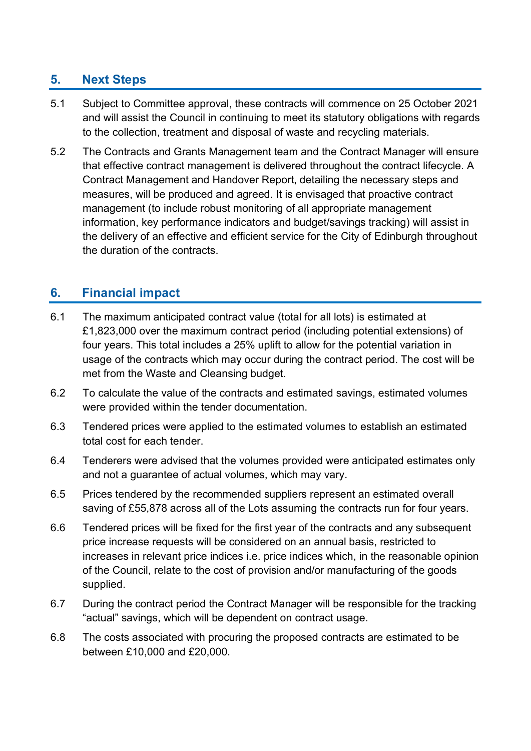## **5. Next Steps**

- 5.1 Subject to Committee approval, these contracts will commence on 25 October 2021 and will assist the Council in continuing to meet its statutory obligations with regards to the collection, treatment and disposal of waste and recycling materials.
- 5.2 The Contracts and Grants Management team and the Contract Manager will ensure that effective contract management is delivered throughout the contract lifecycle. A Contract Management and Handover Report, detailing the necessary steps and measures, will be produced and agreed. It is envisaged that proactive contract management (to include robust monitoring of all appropriate management information, key performance indicators and budget/savings tracking) will assist in the delivery of an effective and efficient service for the City of Edinburgh throughout the duration of the contracts.

### **6. Financial impact**

- 6.1 The maximum anticipated contract value (total for all lots) is estimated at £1,823,000 over the maximum contract period (including potential extensions) of four years. This total includes a 25% uplift to allow for the potential variation in usage of the contracts which may occur during the contract period. The cost will be met from the Waste and Cleansing budget.
- 6.2 To calculate the value of the contracts and estimated savings, estimated volumes were provided within the tender documentation.
- 6.3 Tendered prices were applied to the estimated volumes to establish an estimated total cost for each tender.
- 6.4 Tenderers were advised that the volumes provided were anticipated estimates only and not a guarantee of actual volumes, which may vary.
- 6.5 Prices tendered by the recommended suppliers represent an estimated overall saving of £55,878 across all of the Lots assuming the contracts run for four years.
- 6.6 Tendered prices will be fixed for the first year of the contracts and any subsequent price increase requests will be considered on an annual basis, restricted to increases in relevant price indices i.e. price indices which, in the reasonable opinion of the Council, relate to the cost of provision and/or manufacturing of the goods supplied.
- 6.7 During the contract period the Contract Manager will be responsible for the tracking "actual" savings, which will be dependent on contract usage.
- 6.8 The costs associated with procuring the proposed contracts are estimated to be between £10,000 and £20,000.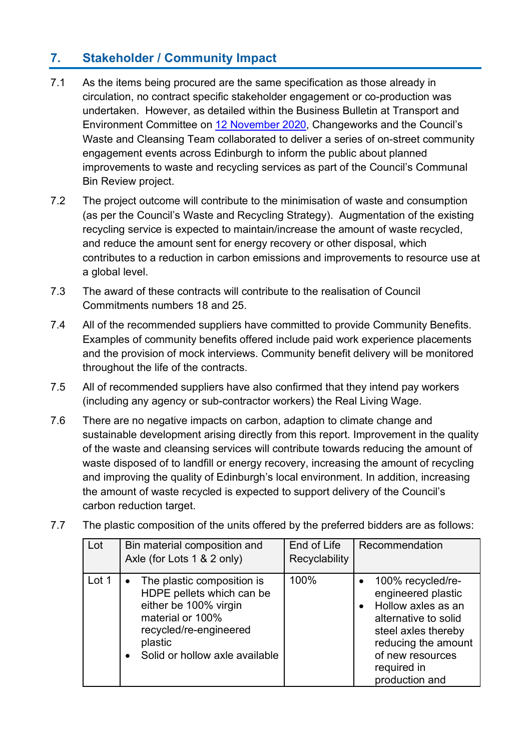# **7. Stakeholder / Community Impact**

- 7.1 As the items being procured are the same specification as those already in circulation, no contract specific stakeholder engagement or co-production was undertaken. However, as detailed within the Business Bulletin at Transport and Environment Committee on [12 November 2020,](https://democracy.edinburgh.gov.uk/documents/s28757/6.1%20-%20Business%20Bulletin%2012%20November_Final.pdf) Changeworks and the Council's Waste and Cleansing Team collaborated to deliver a series of on-street community engagement events across Edinburgh to inform the public about planned improvements to waste and recycling services as part of the Council's Communal Bin Review project.
- 7.2 The project outcome will contribute to the minimisation of waste and consumption (as per the Council's Waste and Recycling Strategy). Augmentation of the existing recycling service is expected to maintain/increase the amount of waste recycled, and reduce the amount sent for energy recovery or other disposal, which contributes to a reduction in carbon emissions and improvements to resource use at a global level.
- 7.3 The award of these contracts will contribute to the realisation of Council Commitments numbers 18 and 25.
- 7.4 All of the recommended suppliers have committed to provide Community Benefits. Examples of community benefits offered include paid work experience placements and the provision of mock interviews. Community benefit delivery will be monitored throughout the life of the contracts.
- 7.5 All of recommended suppliers have also confirmed that they intend pay workers (including any agency or sub-contractor workers) the Real Living Wage.
- 7.6 There are no negative impacts on carbon, adaption to climate change and sustainable development arising directly from this report. Improvement in the quality of the waste and cleansing services will contribute towards reducing the amount of waste disposed of to landfill or energy recovery, increasing the amount of recycling and improving the quality of Edinburgh's local environment. In addition, increasing the amount of waste recycled is expected to support delivery of the Council's carbon reduction target.
- 7.7 The plastic composition of the units offered by the preferred bidders are as follows:

| Lot   | Bin material composition and<br>Axle (for Lots 1 & 2 only)                                                                                                                               | End of Life<br>Recyclability | Recommendation                                                                                                                                                                                        |
|-------|------------------------------------------------------------------------------------------------------------------------------------------------------------------------------------------|------------------------------|-------------------------------------------------------------------------------------------------------------------------------------------------------------------------------------------------------|
| Lot 1 | The plastic composition is<br>$\bullet$<br>HDPE pellets which can be<br>either be 100% virgin<br>material or 100%<br>recycled/re-engineered<br>plastic<br>Solid or hollow axle available | 100%                         | 100% recycled/re-<br>engineered plastic<br>Hollow axles as an<br>$\bullet$<br>alternative to solid<br>steel axles thereby<br>reducing the amount<br>of new resources<br>required in<br>production and |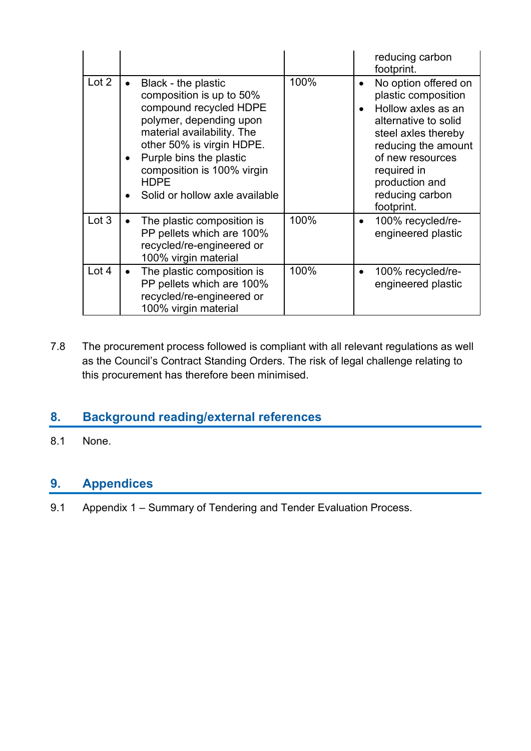|       |           |                                                                                                                                                                                                                                                                           |      |                        | reducing carbon<br>footprint.                                                                                                                                                                                                 |
|-------|-----------|---------------------------------------------------------------------------------------------------------------------------------------------------------------------------------------------------------------------------------------------------------------------------|------|------------------------|-------------------------------------------------------------------------------------------------------------------------------------------------------------------------------------------------------------------------------|
| Lot 2 |           | Black - the plastic<br>composition is up to 50%<br>compound recycled HDPE<br>polymer, depending upon<br>material availability. The<br>other 50% is virgin HDPE.<br>Purple bins the plastic<br>composition is 100% virgin<br><b>HDPE</b><br>Solid or hollow axle available | 100% | $\bullet$<br>$\bullet$ | No option offered on<br>plastic composition<br>Hollow axles as an<br>alternative to solid<br>steel axles thereby<br>reducing the amount<br>of new resources<br>required in<br>production and<br>reducing carbon<br>footprint. |
| Lot 3 | $\bullet$ | The plastic composition is<br>PP pellets which are 100%<br>recycled/re-engineered or<br>100% virgin material                                                                                                                                                              | 100% | $\bullet$              | 100% recycled/re-<br>engineered plastic                                                                                                                                                                                       |
| Lot 4 |           | The plastic composition is<br>PP pellets which are 100%<br>recycled/re-engineered or<br>100% virgin material                                                                                                                                                              | 100% | $\bullet$              | 100% recycled/re-<br>engineered plastic                                                                                                                                                                                       |

7.8 The procurement process followed is compliant with all relevant regulations as well as the Council's Contract Standing Orders. The risk of legal challenge relating to this procurement has therefore been minimised.

# **8. Background reading/external references**

8.1 None.

## **9. Appendices**

9.1 Appendix 1 – Summary of Tendering and Tender Evaluation Process.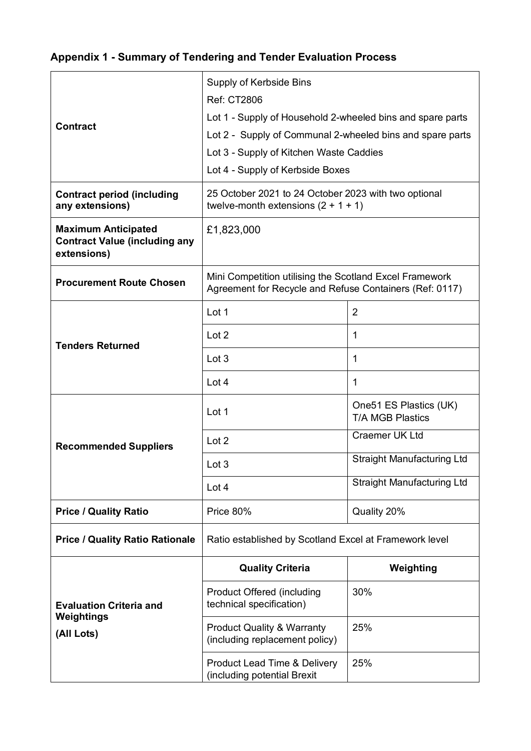# **Appendix 1 - Summary of Tendering and Tender Evaluation Process**

|                                                                                   | Supply of Kerbside Bins                                                                                            |                                                   |  |  |
|-----------------------------------------------------------------------------------|--------------------------------------------------------------------------------------------------------------------|---------------------------------------------------|--|--|
|                                                                                   | <b>Ref: CT2806</b>                                                                                                 |                                                   |  |  |
| <b>Contract</b>                                                                   | Lot 1 - Supply of Household 2-wheeled bins and spare parts                                                         |                                                   |  |  |
|                                                                                   | Lot 2 - Supply of Communal 2-wheeled bins and spare parts                                                          |                                                   |  |  |
|                                                                                   | Lot 3 - Supply of Kitchen Waste Caddies                                                                            |                                                   |  |  |
|                                                                                   | Lot 4 - Supply of Kerbside Boxes                                                                                   |                                                   |  |  |
| <b>Contract period (including</b><br>any extensions)                              | 25 October 2021 to 24 October 2023 with two optional<br>twelve-month extensions $(2 + 1 + 1)$                      |                                                   |  |  |
| <b>Maximum Anticipated</b><br><b>Contract Value (including any</b><br>extensions) | £1,823,000                                                                                                         |                                                   |  |  |
| <b>Procurement Route Chosen</b>                                                   | Mini Competition utilising the Scotland Excel Framework<br>Agreement for Recycle and Refuse Containers (Ref: 0117) |                                                   |  |  |
|                                                                                   | Lot 1                                                                                                              | $\overline{2}$                                    |  |  |
| <b>Tenders Returned</b>                                                           | Lot 2                                                                                                              | 1                                                 |  |  |
|                                                                                   | Lot 3                                                                                                              | 1                                                 |  |  |
|                                                                                   | Lot 4                                                                                                              | 1                                                 |  |  |
|                                                                                   | Lot 1                                                                                                              | One51 ES Plastics (UK)<br><b>T/A MGB Plastics</b> |  |  |
| <b>Recommended Suppliers</b>                                                      | Lot 2                                                                                                              | <b>Craemer UK Ltd</b>                             |  |  |
|                                                                                   | Lot 3                                                                                                              | <b>Straight Manufacturing Ltd</b>                 |  |  |
|                                                                                   | Lot 4                                                                                                              | <b>Straight Manufacturing Ltd</b>                 |  |  |
| <b>Price / Quality Ratio</b>                                                      | Price 80%                                                                                                          | Quality 20%                                       |  |  |
| <b>Price / Quality Ratio Rationale</b>                                            | Ratio established by Scotland Excel at Framework level                                                             |                                                   |  |  |
|                                                                                   | <b>Quality Criteria</b>                                                                                            | Weighting                                         |  |  |
| <b>Evaluation Criteria and</b><br>Weightings                                      | <b>Product Offered (including</b><br>technical specification)                                                      | 30%                                               |  |  |
| (All Lots)                                                                        | <b>Product Quality &amp; Warranty</b><br>(including replacement policy)                                            | 25%                                               |  |  |
|                                                                                   | <b>Product Lead Time &amp; Delivery</b><br>(including potential Brexit                                             | 25%                                               |  |  |